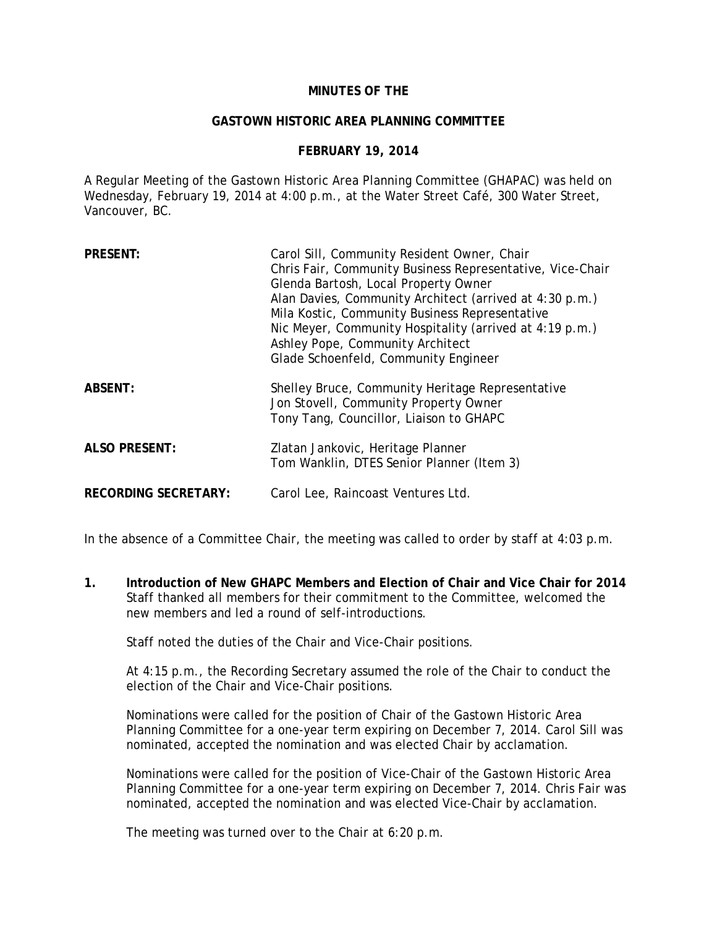#### **MINUTES OF THE**

#### **GASTOWN HISTORIC AREA PLANNING COMMITTEE**

#### **FEBRUARY 19, 2014**

A Regular Meeting of the Gastown Historic Area Planning Committee (GHAPAC) was held on Wednesday, February 19, 2014 at 4:00 p.m., at the Water Street Café, 300 Water Street, Vancouver, BC.

| <b>PRESENT:</b>             | Carol Sill, Community Resident Owner, Chair<br>Chris Fair, Community Business Representative, Vice-Chair<br>Glenda Bartosh, Local Property Owner<br>Alan Davies, Community Architect (arrived at 4:30 p.m.)<br>Mila Kostic, Community Business Representative<br>Nic Meyer, Community Hospitality (arrived at 4:19 p.m.)<br>Ashley Pope, Community Architect<br>Glade Schoenfeld, Community Engineer |
|-----------------------------|------------------------------------------------------------------------------------------------------------------------------------------------------------------------------------------------------------------------------------------------------------------------------------------------------------------------------------------------------------------------------------------------------|
| <b>ABSENT:</b>              | Shelley Bruce, Community Heritage Representative<br>Jon Stovell, Community Property Owner<br>Tony Tang, Councillor, Liaison to GHAPC                                                                                                                                                                                                                                                                 |
| <b>ALSO PRESENT:</b>        | Zlatan Jankovic, Heritage Planner<br>Tom Wanklin, DTES Senior Planner (Item 3)                                                                                                                                                                                                                                                                                                                       |
| <b>RECORDING SECRETARY:</b> | Carol Lee, Raincoast Ventures Ltd.                                                                                                                                                                                                                                                                                                                                                                   |

In the absence of a Committee Chair, the meeting was called to order by staff at 4:03 p.m.

**1. Introduction of New GHAPC Members and Election of Chair and Vice Chair for 2014**  Staff thanked all members for their commitment to the Committee, welcomed the new members and led a round of self-introductions.

Staff noted the duties of the Chair and Vice-Chair positions.

At 4:15 p.m., the Recording Secretary assumed the role of the Chair to conduct the election of the Chair and Vice-Chair positions.

Nominations were called for the position of Chair of the Gastown Historic Area Planning Committee for a one-year term expiring on December 7, 2014. Carol Sill was nominated, accepted the nomination and was elected Chair by acclamation.

Nominations were called for the position of Vice-Chair of the Gastown Historic Area Planning Committee for a one-year term expiring on December 7, 2014. Chris Fair was nominated, accepted the nomination and was elected Vice-Chair by acclamation.

The meeting was turned over to the Chair at 6:20 p.m.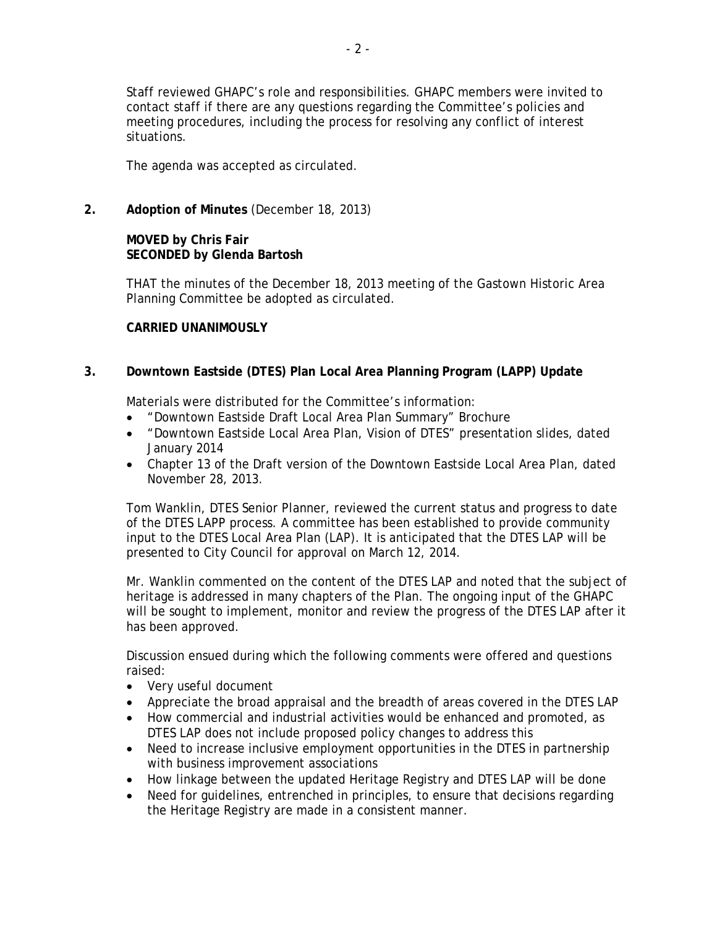Staff reviewed GHAPC's role and responsibilities. GHAPC members were invited to contact staff if there are any questions regarding the Committee's policies and meeting procedures, including the process for resolving any conflict of interest situations.

The agenda was accepted as circulated.

**2. Adoption of Minutes** (December 18, 2013)

# **MOVED by Chris Fair SECONDED by Glenda Bartosh**

THAT the minutes of the December 18, 2013 meeting of the Gastown Historic Area Planning Committee be adopted as circulated.

### **CARRIED UNANIMOUSLY**

# **3. Downtown Eastside (DTES) Plan Local Area Planning Program (LAPP) Update**

Materials were distributed for the Committee's information:

- "Downtown Eastside Draft Local Area Plan Summary" Brochure
- "Downtown Eastside Local Area Plan, Vision of DTES" presentation slides, dated January 2014
- Chapter 13 of the Draft version of the Downtown Eastside Local Area Plan, dated November 28, 2013.

Tom Wanklin, DTES Senior Planner, reviewed the current status and progress to date of the DTES LAPP process. A committee has been established to provide community input to the DTES Local Area Plan (LAP). It is anticipated that the DTES LAP will be presented to City Council for approval on March 12, 2014.

Mr. Wanklin commented on the content of the DTES LAP and noted that the subject of heritage is addressed in many chapters of the Plan. The ongoing input of the GHAPC will be sought to implement, monitor and review the progress of the DTES LAP after it has been approved.

Discussion ensued during which the following comments were offered and questions raised:

- Very useful document
- Appreciate the broad appraisal and the breadth of areas covered in the DTES LAP
- How commercial and industrial activities would be enhanced and promoted, as DTES LAP does not include proposed policy changes to address this
- Need to increase inclusive employment opportunities in the DTES in partnership with business improvement associations
- How linkage between the updated Heritage Registry and DTES LAP will be done
- Need for quidelines, entrenched in principles, to ensure that decisions regarding the Heritage Registry are made in a consistent manner.